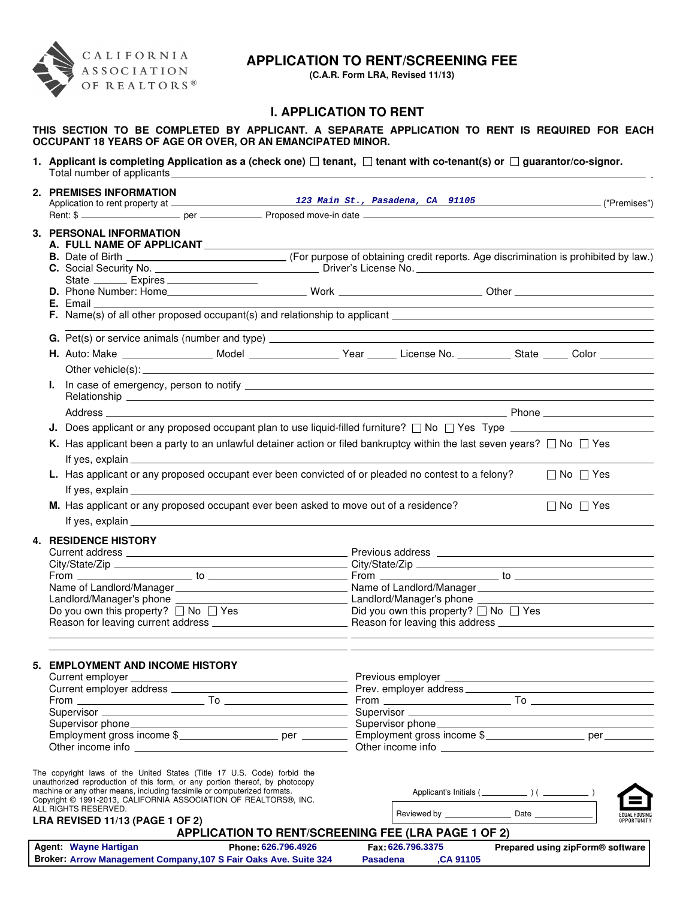

# **APPLICATION TO RENT/SCREENING FEE**

**(C.A.R. Form LRA, Revised 11/13)**

## **I. APPLICATION TO RENT**

### **THIS SECTION TO BE COMPLETED BY APPLICANT. A SEPARATE APPLICATION TO RENT IS REQUIRED FOR EACH OCCUPANT 18 YEARS OF AGE OR OVER, OR AN EMANCIPATED MINOR.**

|  | 1. Applicant is completing Application as a (check one) $\Box$ tenant, $\Box$ tenant with co-tenant(s) or $\Box$ guarantor/co-signor.                                                                                        |                                                                                                                |  |                                                     |  |                      |             |  |
|--|------------------------------------------------------------------------------------------------------------------------------------------------------------------------------------------------------------------------------|----------------------------------------------------------------------------------------------------------------|--|-----------------------------------------------------|--|----------------------|-------------|--|
|  | 2. PREMISES INFORMATION                                                                                                                                                                                                      |                                                                                                                |  |                                                     |  |                      |             |  |
|  |                                                                                                                                                                                                                              |                                                                                                                |  | 123 Main St., Pasadena, CA 91105 ("Premises")       |  |                      |             |  |
|  |                                                                                                                                                                                                                              |                                                                                                                |  |                                                     |  |                      |             |  |
|  | 3. PERSONAL INFORMATION<br>A. FULL NAME OF APPLICANT ______________                                                                                                                                                          |                                                                                                                |  |                                                     |  |                      |             |  |
|  |                                                                                                                                                                                                                              |                                                                                                                |  |                                                     |  |                      |             |  |
|  | State _________ Expires _____________________                                                                                                                                                                                |                                                                                                                |  |                                                     |  |                      |             |  |
|  |                                                                                                                                                                                                                              | F. Name(s) of all other proposed occupant(s) and relationship to applicant ___________________________________ |  |                                                     |  |                      |             |  |
|  |                                                                                                                                                                                                                              |                                                                                                                |  |                                                     |  |                      |             |  |
|  | H. Auto: Make ___________________ Model ___________________Year _______ License No. ____________ State _____ Color __________                                                                                                |                                                                                                                |  |                                                     |  |                      |             |  |
|  |                                                                                                                                                                                                                              |                                                                                                                |  |                                                     |  |                      |             |  |
|  |                                                                                                                                                                                                                              |                                                                                                                |  |                                                     |  |                      |             |  |
|  |                                                                                                                                                                                                                              |                                                                                                                |  |                                                     |  |                      |             |  |
|  | <b>J.</b> Does applicant or any proposed occupant plan to use liquid-filled furniture? $\Box$ No $\Box$ Yes Type $\Box$                                                                                                      |                                                                                                                |  |                                                     |  |                      |             |  |
|  | K. Has applicant been a party to an unlawful detainer action or filed bankruptcy within the last seven years? $\Box$ No $\Box$ Yes                                                                                           |                                                                                                                |  |                                                     |  |                      |             |  |
|  | L. Has applicant or any proposed occupant ever been convicted of or pleaded no contest to a felony?<br>$\Box$ No $\Box$ Yes                                                                                                  |                                                                                                                |  |                                                     |  |                      |             |  |
|  | M. Has applicant or any proposed occupant ever been asked to move out of a residence?                                                                                                                                        |                                                                                                                |  |                                                     |  |                      |             |  |
|  |                                                                                                                                                                                                                              |                                                                                                                |  |                                                     |  | $\Box$ No $\Box$ Yes |             |  |
|  | <b>4. RESIDENCE HISTORY</b>                                                                                                                                                                                                  |                                                                                                                |  |                                                     |  |                      |             |  |
|  |                                                                                                                                                                                                                              |                                                                                                                |  |                                                     |  |                      |             |  |
|  |                                                                                                                                                                                                                              |                                                                                                                |  |                                                     |  |                      |             |  |
|  |                                                                                                                                                                                                                              |                                                                                                                |  |                                                     |  |                      |             |  |
|  |                                                                                                                                                                                                                              |                                                                                                                |  |                                                     |  |                      |             |  |
|  |                                                                                                                                                                                                                              |                                                                                                                |  |                                                     |  |                      |             |  |
|  | Do you own this property? $\Box$ No $\Box$ Yes                                                                                                                                                                               |                                                                                                                |  | Did you own this property? $\Box$ No $\Box$ Yes     |  |                      |             |  |
|  | <b>5. EMPLOYMENT AND INCOME HISTORY</b>                                                                                                                                                                                      |                                                                                                                |  |                                                     |  |                      |             |  |
|  |                                                                                                                                                                                                                              |                                                                                                                |  |                                                     |  |                      |             |  |
|  |                                                                                                                                                                                                                              |                                                                                                                |  |                                                     |  |                      |             |  |
|  |                                                                                                                                                                                                                              |                                                                                                                |  |                                                     |  |                      |             |  |
|  |                                                                                                                                                                                                                              |                                                                                                                |  |                                                     |  |                      |             |  |
|  |                                                                                                                                                                                                                              |                                                                                                                |  |                                                     |  |                      |             |  |
|  |                                                                                                                                                                                                                              |                                                                                                                |  |                                                     |  |                      |             |  |
|  |                                                                                                                                                                                                                              |                                                                                                                |  |                                                     |  |                      |             |  |
|  | The copyright laws of the United States (Title 17 U.S. Code) forbid the                                                                                                                                                      |                                                                                                                |  |                                                     |  |                      |             |  |
|  | unauthorized reproduction of this form, or any portion thereof, by photocopy<br>machine or any other means, including facsimile or computerized formats.<br>Copyright @ 1991-2013, CALIFORNIA ASSOCIATION OF REALTORS®, INC. |                                                                                                                |  |                                                     |  |                      |             |  |
|  | ALL RIGHTS RESERVED.<br>LRA REVISED 11/13 (PAGE 1 OF 2)                                                                                                                                                                      |                                                                                                                |  |                                                     |  |                      | OPPORTUNITY |  |
|  |                                                                                                                                                                                                                              |                                                                                                                |  | APPLICATION TO RENT/SCREENING FEE (LRA PAGE 1 OF 2) |  |                      |             |  |

| Agent: Wayne Hartigan                                            | Phone: 626,796,4926 |          | Fax: 626.796.3375 | Prepared using zipForm® software |
|------------------------------------------------------------------|---------------------|----------|-------------------|----------------------------------|
| Broker: Arrow Management Company, 107 S Fair Oaks Ave. Suite 324 |                     | Pasadena | <b>CA 91105</b>   |                                  |